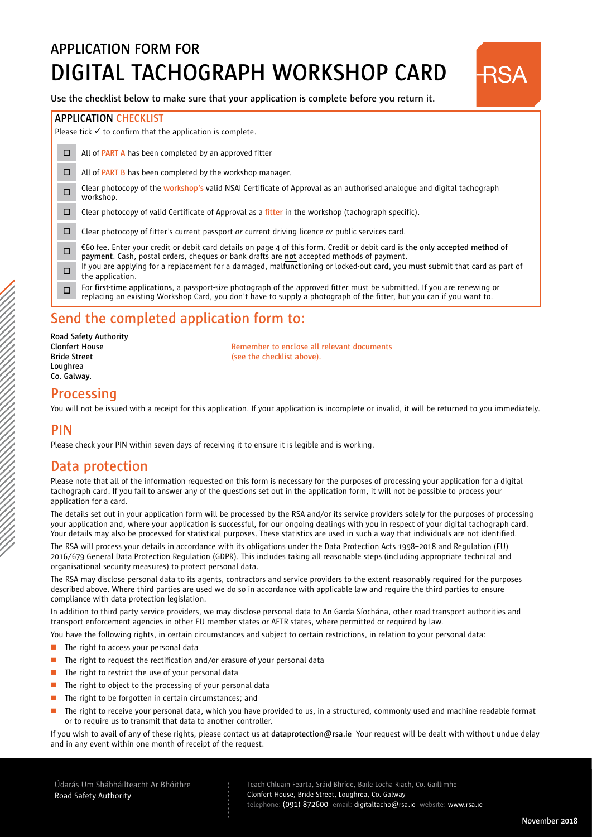# **APPLICATION FORM FOR DIGITAL TACHOGRAPH WORKSHOP CARD**



#### **APPLICATION CHECKLIST**

Please tick  $\checkmark$  to confirm that the application is complete.

- □ All of **PART A** has been completed by an approved fitter
- $\Box$  All of **PART B** has been completed by the workshop manager.
- <sup>o</sup> Clear photocopy of the **workshop's** valid NSAI Certificate of Approval as an authorised analogue and digital tachograph workshop.
- o Clear photocopy of valid Certificate of Approval as a **fitter** in the workshop (tachograph specific).
- o Clear photocopy of fitter's current passport *or* current driving licence *or* public services card.
- <sup>o</sup> €60 fee. Enter your credit or debit card details on page 4 of this form. Credit or debit card is **the only accepted method of payment**. Cash, postal orders, cheques or bank drafts are **not** accepted methods of payment.
- If you are applying for a replacement for a damaged, malfunctioning or locked-out card, you must submit that card as part of the application.
- o For **first-time applications**, a passport-size photograph of the approved fitter must be submitted. If you are renewing or replacing an existing Workshop Card, you don't have to supply a photograph of the fitter, but you can if you want to.

### **Send the completed application form to:**

| Road Safety Authority |
|-----------------------|
| <b>Clonfert House</b> |
| <b>Bride Street</b>   |
| Loughrea              |
| Co. Galway.           |
|                       |

**Remember to enclose all relevant documents (see the checklist above).** 

#### **Processing**

You will not be issued with a receipt for this application. If your application is incomplete or invalid, it will be returned to you immediately.

#### **PIN**

Please check your PIN within seven days of receiving it to ensure it is legible and is working.

### **Data protection**

Please note that all of the information requested on this form is necessary for the purposes of processing your application for a digital tachograph card. If you fail to answer any of the questions set out in the application form, it will not be possible to process your application for a card.

The details set out in your application form will be processed by the RSA and/or its service providers solely for the purposes of processing your application and, where your application is successful, for our ongoing dealings with you in respect of your digital tachograph card. Your details may also be processed for statistical purposes. These statistics are used in such a way that individuals are not identified.

The RSA will process your details in accordance with its obligations under the Data Protection Acts 1998–2018 and Regulation (EU) 2016/679 General Data Protection Regulation (GDPR). This includes taking all reasonable steps (including appropriate technical and organisational security measures) to protect personal data.

The RSA may disclose personal data to its agents, contractors and service providers to the extent reasonably required for the purposes described above. Where third parties are used we do so in accordance with applicable law and require the third parties to ensure compliance with data protection legislation.

In addition to third party service providers, we may disclose personal data to An Garda Síochána, other road transport authorities and transport enforcement agencies in other EU member states or AETR states, where permitted or required by law.

You have the following rights, in certain circumstances and subject to certain restrictions, in relation to your personal data:

- - - - - - - - -

- The right to access your personal data  $\Box$
- The right to request the rectification and/or erasure of your personal data п
- The right to restrict the use of your personal data Π
- The right to object to the processing of your personal data Π
- The right to be forgotten in certain circumstances; and  $\Box$
- The right to receive your personal data, which you have provided to us, in a structured, commonly used and machine-readable format or to require us to transmit that data to another controller. Ξ

If you wish to avail of any of these rights, please contact us at **dataprotection@rsa.ie** Your request will be dealt with without undue delay and in any event within one month of receipt of the request.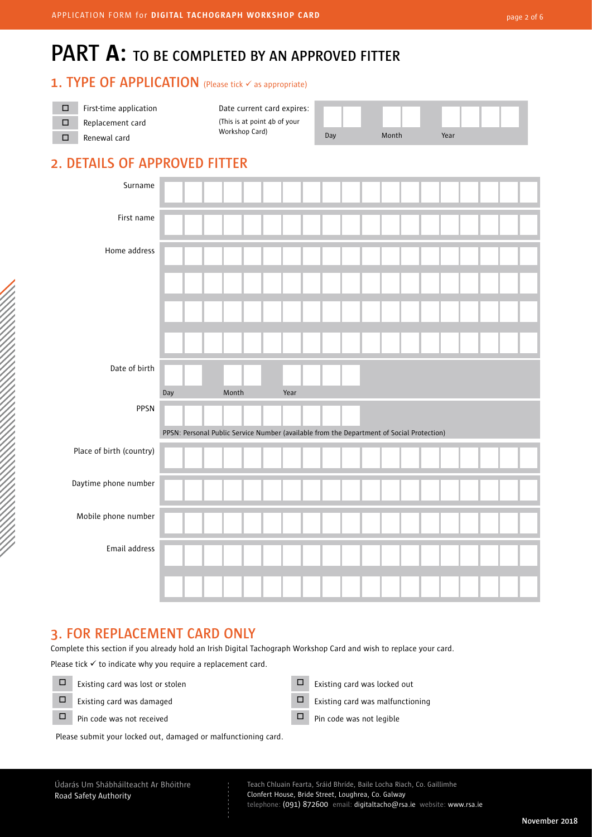## **PART A: TO BE COMPLETED BY AN APPROVED FITTER**

#### **1. TYPE OF APPLICATION** (Please tick  $\checkmark$  as appropriate)

| First-time application | Date current card expires:   |     |       |      |
|------------------------|------------------------------|-----|-------|------|
| Replacement card       | (This is at point 4b of your |     |       |      |
| Renewal card           | Workshop Card)               | Dav | Month | Year |

| Month |  | Year |  |  |
|-------|--|------|--|--|

## **2. DETAILS OF APPROVED FITTER**

| . .                      | $\sqrt{2}$                                                                                       | .     |      |  |  |  |  |  |  |
|--------------------------|--------------------------------------------------------------------------------------------------|-------|------|--|--|--|--|--|--|
| Surname                  |                                                                                                  |       |      |  |  |  |  |  |  |
| First name               |                                                                                                  |       |      |  |  |  |  |  |  |
| Home address             |                                                                                                  |       |      |  |  |  |  |  |  |
|                          |                                                                                                  |       |      |  |  |  |  |  |  |
|                          |                                                                                                  |       |      |  |  |  |  |  |  |
|                          |                                                                                                  |       |      |  |  |  |  |  |  |
| Date of birth            |                                                                                                  |       |      |  |  |  |  |  |  |
|                          |                                                                                                  |       |      |  |  |  |  |  |  |
| PPSN                     | Day<br>PPSN: Personal Public Service Number (available from the Department of Social Protection) | Month | Year |  |  |  |  |  |  |
| Place of birth (country) |                                                                                                  |       |      |  |  |  |  |  |  |
| Daytime phone number     |                                                                                                  |       |      |  |  |  |  |  |  |
| Mobile phone number      |                                                                                                  |       |      |  |  |  |  |  |  |
| Email address            |                                                                                                  |       |      |  |  |  |  |  |  |

### **3. FOR REPLACEMENT CARD ONLY**

Complete this section if you already hold an Irish Digital Tachograph Workshop Card and wish to replace your card.

- - - - - - - - -

Please tick  $\checkmark$  to indicate why you require a replacement card.

- $\Box$  Existing card was lost or stolen  $\Box$  Existing card was locked out
- -

Please submit your locked out, damaged or malfunctioning card.

- $\Box$  Existing card was damaged  $\Box$  Existing card was malfunctioning
- $\Box$  Pin code was not received  $\Box$  Pin code was not legible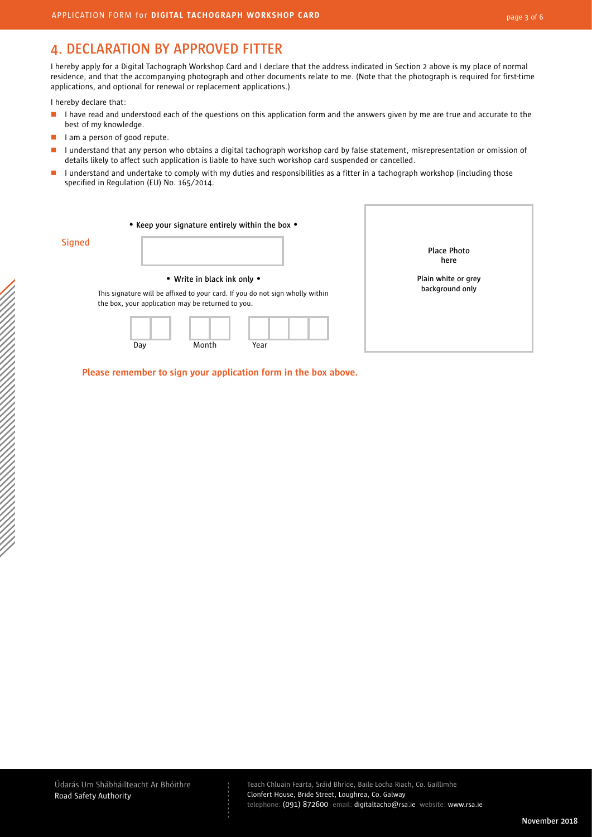## **4. DECLARATION BY APPROVED FITTER**

I hereby apply for a Digital Tachograph Workshop Card and I declare that the address indicated in Section 2 above is my place of normal residence, and that the accompanying photograph and other documents relate to me. (Note that the photograph is required for first-time applications, and optional for renewal or replacement applications.)

I hereby declare that:

- I have read and understood each of the questions on this application form and the answers given by me are true and accurate to the best of my knowledge. É
- I am a person of good repute. ٠
- I understand that any person who obtains a digital tachograph workshop card by false statement, misrepresentation or omission of details likely to affect such application is liable to have such workshop card suspended or cancelled. Ξ
- I understand and undertake to comply with my duties and responsibilities as a fitter in a tachograph workshop (including those specified in Regulation (EU) No. 165/2014. Ξ

|               |     |                                                                                           | • Keep your signature entirely within the box •                                       |                                        |
|---------------|-----|-------------------------------------------------------------------------------------------|---------------------------------------------------------------------------------------|----------------------------------------|
| <b>Signed</b> |     |                                                                                           |                                                                                       | Place Photo<br>here                    |
|               | Day | • Write in black ink only •<br>the box, your application may be returned to you.<br>Month | This signature will be affixed to your card. If you do not sign wholly within<br>Year | Plain white or grey<br>background only |

 **Please remember to sign your application form in the box above.**

- - - - - - - - -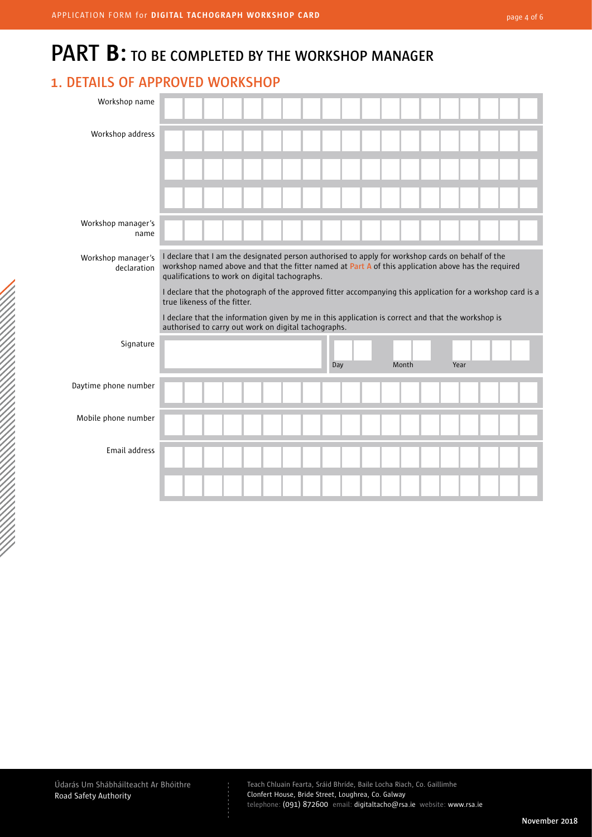## **PART B: TO BE COMPLETED BY THE WORKSHOP MANAGER**

### **1. DETAILS OF APPROVED WORKSHOP**

| Workshop name                     |                                                                                                                                                                                                                                                            |
|-----------------------------------|------------------------------------------------------------------------------------------------------------------------------------------------------------------------------------------------------------------------------------------------------------|
| Workshop address                  |                                                                                                                                                                                                                                                            |
|                                   |                                                                                                                                                                                                                                                            |
|                                   |                                                                                                                                                                                                                                                            |
| Workshop manager's<br>name        |                                                                                                                                                                                                                                                            |
| Workshop manager's<br>declaration | I declare that I am the designated person authorised to apply for workshop cards on behalf of the<br>workshop named above and that the fitter named at Part A of this application above has the required<br>qualifications to work on digital tachographs. |
|                                   | I declare that the photograph of the approved fitter accompanying this application for a workshop card is a<br>true likeness of the fitter.                                                                                                                |
|                                   | I declare that the information given by me in this application is correct and that the workshop is<br>authorised to carry out work on digital tachographs.                                                                                                 |
| Signature                         | Month<br>Year<br>Day                                                                                                                                                                                                                                       |
| Daytime phone number              |                                                                                                                                                                                                                                                            |
|                                   |                                                                                                                                                                                                                                                            |
| Mobile phone number               |                                                                                                                                                                                                                                                            |
| Email address                     |                                                                                                                                                                                                                                                            |

- - - - - - - - -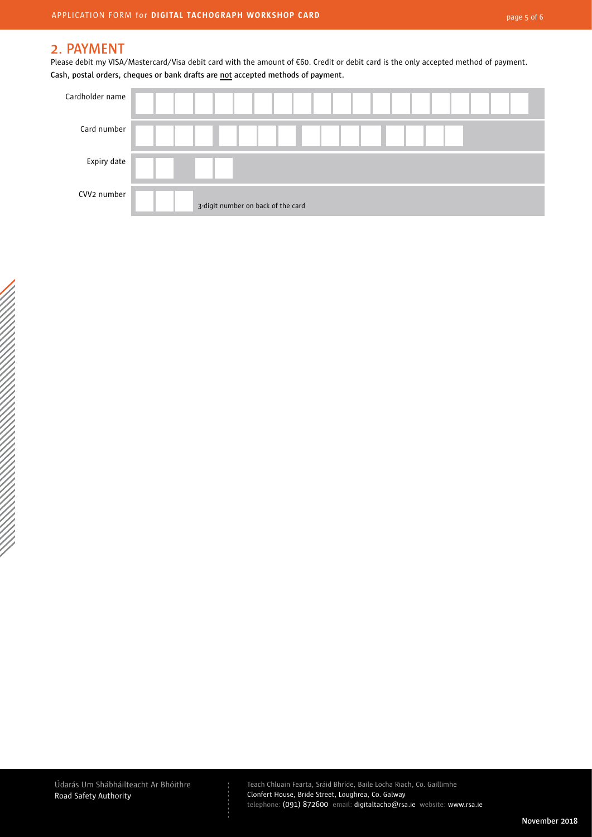#### **2. PAYMENT**

Please debit my VISA/Mastercard/Visa debit card with the amount of €60. Credit or debit card is the only accepted method of payment. **Cash, postal orders, cheques or bank drafts are not accepted methods of payment.** 



Údarás Um Shábháilteacht Ar Bhóithre Road Safety Authority

- - - - - - - - -